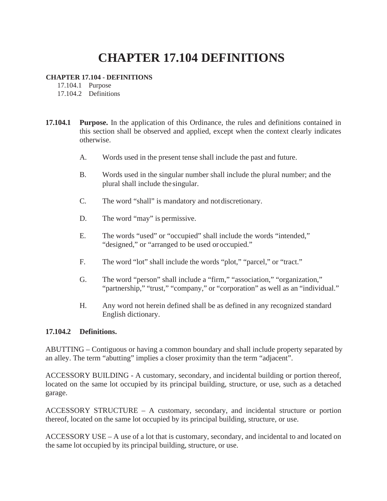## **CHAPTER 17.104 DEFINITIONS**

## **CHAPTER 17.104 - DEFINITIONS**

17.104.1 Purpose

17.104.2 Definitions

- **17.104.1 Purpose.** In the application of this Ordinance, the rules and definitions contained in this section shall be observed and applied, except when the context clearly indicates otherwise.
	- A. Words used in the present tense shall include the past and future.
	- B. Words used in the singular number shall include the plural number; and the plural shall include the singular.
	- C. The word "shall" is mandatory and notdiscretionary.
	- D. The word "may" is permissive.
	- E. The words "used" or "occupied" shall include the words "intended," "designed," or "arranged to be used or occupied."
	- F. The word "lot" shall include the words "plot," "parcel," or "tract."
	- G. The word "person" shall include a "firm," "association," "organization," "partnership," "trust," "company," or "corporation" as well as an "individual."
	- H. Any word not herein defined shall be as defined in any recognized standard English dictionary.

## **17.104.2 Definitions.**

ABUTTING – Contiguous or having a common boundary and shall include property separated by an alley. The term "abutting" implies a closer proximity than the term "adjacent".

ACCESSORY BUILDING - A customary, secondary, and incidental building or portion thereof, located on the same lot occupied by its principal building, structure, or use, such as a detached garage.

ACCESSORY STRUCTURE – A customary, secondary, and incidental structure or portion thereof, located on the same lot occupied by its principal building, structure, or use.

ACCESSORY USE – A use of a lot that is customary, secondary, and incidental to and located on the same lot occupied by its principal building, structure, or use.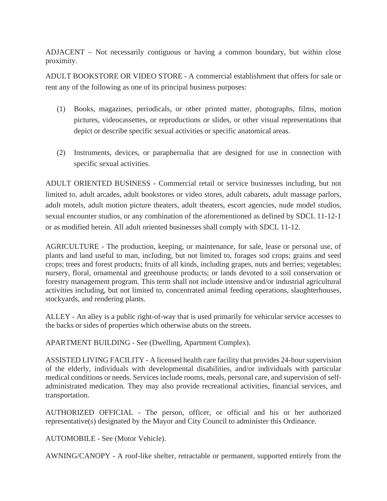ADJACENT – Not necessarily contiguous or having a common boundary, but within close proximity.

ADULT BOOKSTORE OR VIDEO STORE - A commercial establishment that offers for sale or rent any of the following as one of its principal business purposes:

- (1) Books, magazines, periodicals, or other printed matter, photographs, films, motion pictures, videocassettes, or reproductions or slides, or other visual representations that depict or describe specific sexual activities or specific anatomical areas.
- (2) Instruments, devices, or paraphernalia that are designed for use in connection with specific sexual activities.

ADULT ORIENTED BUSINESS - Commercial retail or service businesses including, but not limited to, adult arcades, adult bookstores or video stores, adult cabarets, adult massage parlors, adult motels, adult motion picture theaters, adult theaters, escort agencies, nude model studios, sexual encounter studios, or any combination of the aforementioned as defined by SDCL 11-12-1 or as modified herein. All adult oriented businesses shall comply with SDCL 11-12.

AGRICULTURE - The production, keeping, or maintenance, for sale, lease or personal use, of plants and land useful to man, including, but not limited to, forages sod crops; grains and seed crops; trees and forest products; fruits of all kinds, including grapes, nuts and berries; vegetables; nursery, floral, ornamental and greenhouse products; or lands devoted to a soil conservation or forestry management program. This term shall not include intensive and/or industrial agricultural activities including, but not limited to, concentrated animal feeding operations, slaughterhouses, stockyards, and rendering plants.

ALLEY - An alley is a public right-of-way that is used primarily for vehicular service accesses to the backs or sides of properties which otherwise abuts on the streets.

APARTMENT BUILDING - See (Dwelling, Apartment Complex).

ASSISTED LIVING FACILITY - A licensed health care facility that provides 24-hoursupervision of the elderly, individuals with developmental disabilities, and/or individuals with particular medical conditions or needs. Services include rooms, meals, personal care, and supervision of selfadministrated medication. They may also provide recreational activities, financial services, and transportation.

AUTHORIZED OFFICIAL - The person, officer, or official and his or her authorized representative(s) designated by the Mayor and City Council to administer this Ordinance.

AUTOMOBILE - See (Motor Vehicle).

AWNING/CANOPY - A roof-like shelter, retractable or permanent, supported entirely from the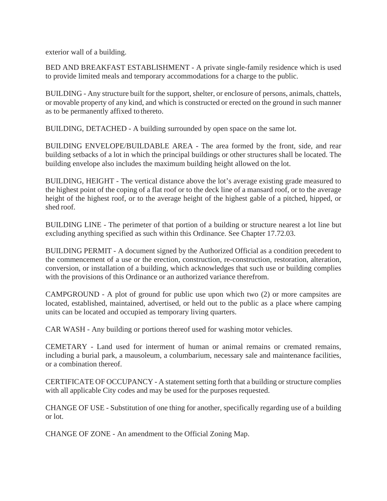exterior wall of a building.

BED AND BREAKFAST ESTABLISHMENT - A private single-family residence which is used to provide limited meals and temporary accommodations for a charge to the public.

BUILDING - Any structure built for the support, shelter, or enclosure of persons, animals, chattels, or movable property of any kind, and which is constructed or erected on the ground in such manner as to be permanently affixed to thereto.

BUILDING, DETACHED - A building surrounded by open space on the same lot.

BUILDING ENVELOPE/BUILDABLE AREA - The area formed by the front, side, and rear building setbacks of a lot in which the principal buildings or other structures shall be located. The building envelope also includes the maximum building height allowed on the lot.

BUILDING, HEIGHT - The vertical distance above the lot's average existing grade measured to the highest point of the coping of a flat roof or to the deck line of a mansard roof, or to the average height of the highest roof, or to the average height of the highest gable of a pitched, hipped, or shed roof.

BUILDING LINE - The perimeter of that portion of a building or structure nearest a lot line but excluding anything specified as such within this Ordinance. See Chapter 17.72.03.

BUILDING PERMIT - A document signed by the Authorized Official as a condition precedent to the commencement of a use or the erection, construction, re-construction, restoration, alteration, conversion, or installation of a building, which acknowledges that such use or building complies with the provisions of this Ordinance or an authorized variance therefrom.

CAMPGROUND - A plot of ground for public use upon which two (2) or more campsites are located, established, maintained, advertised, or held out to the public as a place where camping units can be located and occupied as temporary living quarters.

CAR WASH - Any building or portions thereof used for washing motor vehicles.

CEMETARY - Land used for interment of human or animal remains or cremated remains, including a burial park, a mausoleum, a columbarium, necessary sale and maintenance facilities, or a combination thereof.

CERTIFICATE OF OCCUPANCY - A statement setting forth that a building or structure complies with all applicable City codes and may be used for the purposes requested.

CHANGE OF USE - Substitution of one thing for another, specifically regarding use of a building or lot.

CHANGE OF ZONE - An amendment to the Official Zoning Map.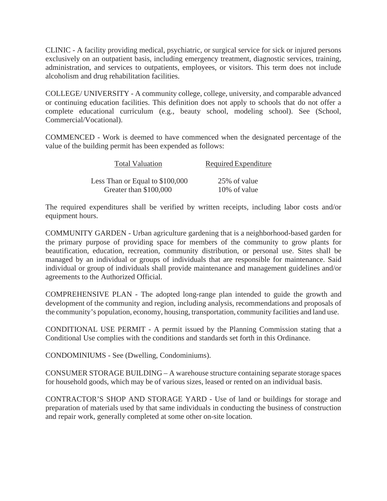CLINIC - A facility providing medical, psychiatric, or surgical service for sick or injured persons exclusively on an outpatient basis, including emergency treatment, diagnostic services, training, administration, and services to outpatients, employees, or visitors. This term does not include alcoholism and drug rehabilitation facilities.

COLLEGE/ UNIVERSITY - A community college, college, university, and comparable advanced or continuing education facilities. This definition does not apply to schools that do not offer a complete educational curriculum (e.g., beauty school, modeling school). See (School, Commercial/Vocational).

COMMENCED - Work is deemed to have commenced when the designated percentage of the value of the building permit has been expended as follows:

| <b>Total Valuation</b>          | Required Expenditure |
|---------------------------------|----------------------|
| Less Than or Equal to \$100,000 | 25% of value         |
| Greater than \$100,000          | 10\% of value        |

The required expenditures shall be verified by written receipts, including labor costs and/or equipment hours.

COMMUNITY GARDEN - Urban agriculture gardening that is a neighborhood-based garden for the primary purpose of providing space for members of the community to grow plants for beautification, education, recreation, community distribution, or personal use. Sites shall be managed by an individual or groups of individuals that are responsible for maintenance. Said individual or group of individuals shall provide maintenance and management guidelines and/or agreements to the Authorized Official.

COMPREHENSIVE PLAN - The adopted long-range plan intended to guide the growth and development of the community and region, including analysis, recommendations and proposals of the community's population, economy, housing, transportation, community facilities and land use.

CONDITIONAL USE PERMIT - A permit issued by the Planning Commission stating that a Conditional Use complies with the conditions and standards set forth in this Ordinance.

CONDOMINIUMS - See (Dwelling, Condominiums).

CONSUMER STORAGE BUILDING – A warehouse structure containing separate storage spaces for household goods, which may be of various sizes, leased or rented on an individual basis.

CONTRACTOR'S SHOP AND STORAGE YARD - Use of land or buildings for storage and preparation of materials used by that same individuals in conducting the business of construction and repair work, generally completed at some other on-site location.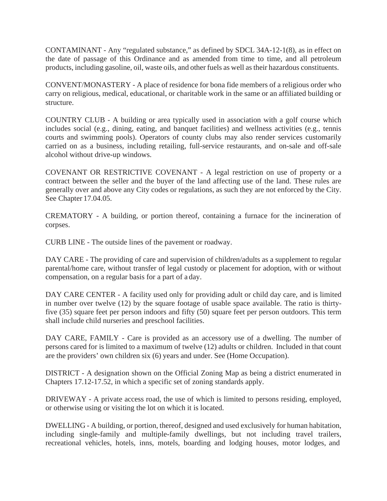CONTAMINANT - Any "regulated substance," as defined by SDCL 34A-12-1(8), as in effect on the date of passage of this Ordinance and as amended from time to time, and all petroleum products, including gasoline, oil, waste oils, and other fuels as well astheir hazardous constituents.

CONVENT/MONASTERY - A place of residence for bona fide members of a religious order who carry on religious, medical, educational, or charitable work in the same or an affiliated building or structure.

COUNTRY CLUB - A building or area typically used in association with a golf course which includes social (e.g., dining, eating, and banquet facilities) and wellness activities (e.g., tennis courts and swimming pools). Operators of county clubs may also render services customarily carried on as a business, including retailing, full-service restaurants, and on-sale and off-sale alcohol without drive-up windows.

COVENANT OR RESTRICTIVE COVENANT - A legal restriction on use of property or a contract between the seller and the buyer of the land affecting use of the land. These rules are generally over and above any City codes or regulations, as such they are not enforced by the City. See Chapter 17.04.05.

CREMATORY - A building, or portion thereof, containing a furnace for the incineration of corpses.

CURB LINE - The outside lines of the pavement or roadway.

DAY CARE - The providing of care and supervision of children/adults as a supplement to regular parental/home care, without transfer of legal custody or placement for adoption, with or without compensation, on a regular basis for a part of a day.

DAY CARE CENTER - A facility used only for providing adult or child day care, and is limited in number over twelve (12) by the square footage of usable space available. The ratio is thirtyfive (35) square feet per person indoors and fifty (50) square feet per person outdoors. This term shall include child nurseries and preschool facilities.

DAY CARE, FAMILY - Care is provided as an accessory use of a dwelling. The number of persons cared for is limited to a maximum of twelve (12) adults or children. Included in that count are the providers' own children six (6) years and under. See (Home Occupation).

DISTRICT - A designation shown on the Official Zoning Map as being a district enumerated in Chapters 17.12-17.52, in which a specific set of zoning standards apply.

DRIVEWAY - A private access road, the use of which is limited to persons residing, employed, or otherwise using or visiting the lot on which it is located.

DWELLING - A building, or portion, thereof, designed and used exclusively for human habitation, including single-family and multiple-family dwellings, but not including travel trailers, recreational vehicles, hotels, inns, motels, boarding and lodging houses, motor lodges, and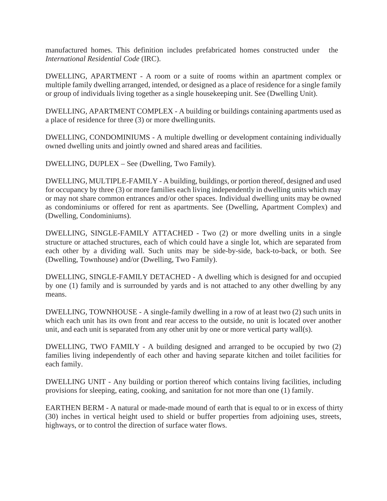manufactured homes. This definition includes prefabricated homes constructed under the *International Residential Code* (IRC).

DWELLING, APARTMENT - A room or a suite of rooms within an apartment complex or multiple family dwelling arranged, intended, or designed as a place of residence for a single family or group of individuals living together as a single housekeeping unit. See (Dwelling Unit).

DWELLING, APARTMENT COMPLEX - A building or buildings containing apartments used as a place of residence for three (3) or more dwellingunits.

DWELLING, CONDOMINIUMS - A multiple dwelling or development containing individually owned dwelling units and jointly owned and shared areas and facilities.

DWELLING, DUPLEX – See (Dwelling, Two Family).

DWELLING, MULTIPLE-FAMILY - A building, buildings, or portion thereof, designed and used for occupancy by three (3) or more families each living independently in dwelling units which may or may not share common entrances and/or other spaces. Individual dwelling units may be owned as condominiums or offered for rent as apartments. See (Dwelling, Apartment Complex) and (Dwelling, Condominiums).

DWELLING, SINGLE-FAMILY ATTACHED - Two (2) or more dwelling units in a single structure or attached structures, each of which could have a single lot, which are separated from each other by a dividing wall. Such units may be side-by-side, back-to-back, or both. See (Dwelling, Townhouse) and/or (Dwelling, Two Family).

DWELLING, SINGLE-FAMILY DETACHED - A dwelling which is designed for and occupied by one (1) family and is surrounded by yards and is not attached to any other dwelling by any means.

DWELLING, TOWNHOUSE - A single-family dwelling in a row of at least two (2) such units in which each unit has its own front and rear access to the outside, no unit is located over another unit, and each unit is separated from any other unit by one or more vertical party wall(s).

DWELLING, TWO FAMILY - A building designed and arranged to be occupied by two (2) families living independently of each other and having separate kitchen and toilet facilities for each family.

DWELLING UNIT - Any building or portion thereof which contains living facilities, including provisions for sleeping, eating, cooking, and sanitation for not more than one (1) family.

EARTHEN BERM - A natural or made-made mound of earth that is equal to or in excess of thirty (30) inches in vertical height used to shield or buffer properties from adjoining uses, streets, highways, or to control the direction of surface water flows.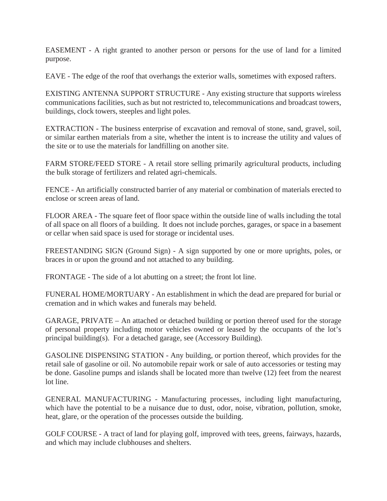EASEMENT - A right granted to another person or persons for the use of land for a limited purpose.

EAVE - The edge of the roof that overhangs the exterior walls, sometimes with exposed rafters.

EXISTING ANTENNA SUPPORT STRUCTURE - Any existing structure that supports wireless communications facilities, such as but not restricted to, telecommunications and broadcast towers, buildings, clock towers, steeples and light poles.

EXTRACTION - The business enterprise of excavation and removal of stone, sand, gravel, soil, or similar earthen materials from a site, whether the intent is to increase the utility and values of the site or to use the materials for landfilling on another site.

FARM STORE/FEED STORE - A retail store selling primarily agricultural products, including the bulk storage of fertilizers and related agri-chemicals.

FENCE - An artificially constructed barrier of any material or combination of materials erected to enclose or screen areas of land.

FLOOR AREA - The square feet of floor space within the outside line of walls including the total of all space on all floors of a building. It does not include porches, garages, or space in a basement or cellar when said space is used for storage or incidental uses.

FREESTANDING SIGN (Ground Sign) - A sign supported by one or more uprights, poles, or braces in or upon the ground and not attached to any building.

FRONTAGE - The side of a lot abutting on a street; the front lot line.

FUNERAL HOME/MORTUARY - An establishment in which the dead are prepared for burial or cremation and in which wakes and funerals may beheld.

GARAGE, PRIVATE – An attached or detached building or portion thereof used for the storage of personal property including motor vehicles owned or leased by the occupants of the lot's principal building(s). For a detached garage, see (Accessory Building).

GASOLINE DISPENSING STATION - Any building, or portion thereof, which provides for the retail sale of gasoline or oil. No automobile repair work or sale of auto accessories or testing may be done. Gasoline pumps and islands shall be located more than twelve (12) feet from the nearest lot line.

GENERAL MANUFACTURING - Manufacturing processes, including light manufacturing, which have the potential to be a nuisance due to dust, odor, noise, vibration, pollution, smoke, heat, glare, or the operation of the processes outside the building.

GOLF COURSE - A tract of land for playing golf, improved with tees, greens, fairways, hazards, and which may include clubhouses and shelters.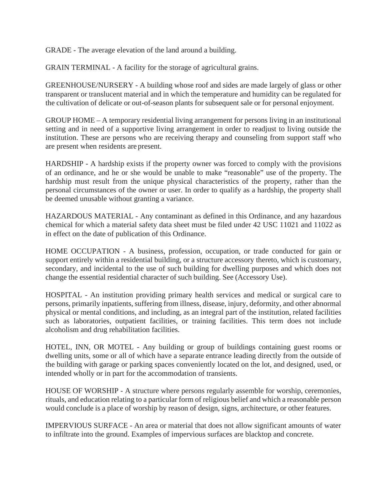GRADE - The average elevation of the land around a building.

GRAIN TERMINAL - A facility for the storage of agricultural grains.

GREENHOUSE/NURSERY - A building whose roof and sides are made largely of glass or other transparent or translucent material and in which the temperature and humidity can be regulated for the cultivation of delicate or out-of-season plants for subsequent sale or for personal enjoyment.

GROUP HOME – A temporary residential living arrangement for persons living in an institutional setting and in need of a supportive living arrangement in order to readjust to living outside the institution. These are persons who are receiving therapy and counseling from support staff who are present when residents are present.

HARDSHIP - A hardship exists if the property owner was forced to comply with the provisions of an ordinance, and he or she would be unable to make "reasonable" use of the property. The hardship must result from the unique physical characteristics of the property, rather than the personal circumstances of the owner or user. In order to qualify as a hardship, the property shall be deemed unusable without granting a variance.

HAZARDOUS MATERIAL - Any contaminant as defined in this Ordinance, and any hazardous chemical for which a material safety data sheet must be filed under 42 USC 11021 and 11022 as in effect on the date of publication of this Ordinance.

HOME OCCUPATION - A business, profession, occupation, or trade conducted for gain or support entirely within a residential building, or a structure accessory thereto, which is customary, secondary, and incidental to the use of such building for dwelling purposes and which does not change the essential residential character of such building. See (Accessory Use).

HOSPITAL - An institution providing primary health services and medical or surgical care to persons, primarily inpatients, suffering from illness, disease, injury, deformity, and other abnormal physical or mental conditions, and including, as an integral part of the institution, related facilities such as laboratories, outpatient facilities, or training facilities. This term does not include alcoholism and drug rehabilitation facilities.

HOTEL, INN, OR MOTEL - Any building or group of buildings containing guest rooms or dwelling units, some or all of which have a separate entrance leading directly from the outside of the building with garage or parking spaces conveniently located on the lot, and designed, used, or intended wholly or in part for the accommodation of transients.

HOUSE OF WORSHIP - A structure where persons regularly assemble for worship, ceremonies, rituals, and education relating to a particular form of religious belief and which a reasonable person would conclude is a place of worship by reason of design, signs, architecture, or other features.

IMPERVIOUS SURFACE - An area or material that does not allow significant amounts of water to infiltrate into the ground. Examples of impervious surfaces are blacktop and concrete.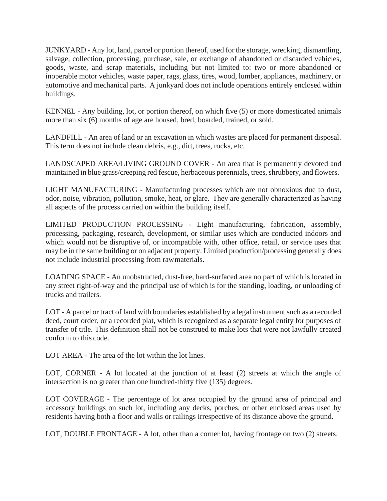JUNKYARD - Any lot, land, parcel or portion thereof, used for the storage, wrecking, dismantling, salvage, collection, processing, purchase, sale, or exchange of abandoned or discarded vehicles, goods, waste, and scrap materials, including but not limited to: two or more abandoned or inoperable motor vehicles, waste paper, rags, glass, tires, wood, lumber, appliances, machinery, or automotive and mechanical parts. A junkyard does not include operations entirely enclosed within buildings.

KENNEL - Any building, lot, or portion thereof, on which five (5) or more domesticated animals more than six (6) months of age are housed, bred, boarded, trained, or sold.

LANDFILL - An area of land or an excavation in which wastes are placed for permanent disposal. This term does not include clean debris, e.g., dirt, trees, rocks, etc.

LANDSCAPED AREA/LIVING GROUND COVER - An area that is permanently devoted and maintained in blue grass/creeping red fescue, herbaceous perennials, trees, shrubbery, and flowers.

LIGHT MANUFACTURING - Manufacturing processes which are not obnoxious due to dust, odor, noise, vibration, pollution, smoke, heat, or glare. They are generally characterized as having all aspects of the process carried on within the building itself.

LIMITED PRODUCTION PROCESSING - Light manufacturing, fabrication, assembly, processing, packaging, research, development, or similar uses which are conducted indoors and which would not be disruptive of, or incompatible with, other office, retail, or service uses that may be in the same building or on adjacent property. Limited production/processing generally does not include industrial processing from rawmaterials.

LOADING SPACE - An unobstructed, dust-free, hard-surfaced area no part of which is located in any street right-of-way and the principal use of which is for the standing, loading, or unloading of trucks and trailers.

LOT - A parcel or tract of land with boundaries established by a legal instrument such as a recorded deed, court order, or a recorded plat, which is recognized as a separate legal entity for purposes of transfer of title. This definition shall not be construed to make lots that were not lawfully created conform to this code.

LOT AREA - The area of the lot within the lot lines.

LOT, CORNER - A lot located at the junction of at least (2) streets at which the angle of intersection is no greater than one hundred-thirty five (135) degrees.

LOT COVERAGE - The percentage of lot area occupied by the ground area of principal and accessory buildings on such lot, including any decks, porches, or other enclosed areas used by residents having both a floor and walls or railings irrespective of its distance above the ground.

LOT, DOUBLE FRONTAGE - A lot, other than a corner lot, having frontage on two (2) streets.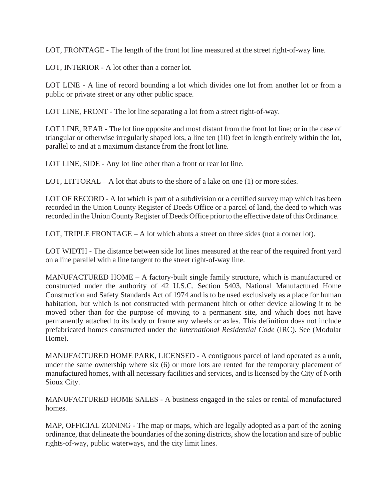LOT, FRONTAGE - The length of the front lot line measured at the street right-of-way line.

LOT, INTERIOR - A lot other than a corner lot.

LOT LINE - A line of record bounding a lot which divides one lot from another lot or from a public or private street or any other public space.

LOT LINE, FRONT - The lot line separating a lot from a street right-of-way.

LOT LINE, REAR - The lot line opposite and most distant from the front lot line; or in the case of triangular or otherwise irregularly shaped lots, a line ten (10) feet in length entirely within the lot, parallel to and at a maximum distance from the front lot line.

LOT LINE, SIDE - Any lot line other than a front or rear lot line.

LOT, LITTORAL – A lot that abuts to the shore of a lake on one  $(1)$  or more sides.

LOT OF RECORD - A lot which is part of a subdivision or a certified survey map which has been recorded in the Union County Register of Deeds Office or a parcel of land, the deed to which was recorded in the Union County Register of Deeds Office prior to the effective date of this Ordinance.

LOT, TRIPLE FRONTAGE – A lot which abuts a street on three sides (not a corner lot).

LOT WIDTH - The distance between side lot lines measured at the rear of the required front yard on a line parallel with a line tangent to the street right-of-way line.

MANUFACTURED HOME – A factory-built single family structure, which is manufactured or constructed under the authority of 42 U.S.C. Section 5403, National Manufactured Home Construction and Safety Standards Act of 1974 and is to be used exclusively as a place for human habitation, but which is not constructed with permanent hitch or other device allowing it to be moved other than for the purpose of moving to a permanent site, and which does not have permanently attached to its body or frame any wheels or axles. This definition does not include prefabricated homes constructed under the *International Residential Code* (IRC). See (Modular Home).

MANUFACTURED HOME PARK, LICENSED - A contiguous parcel of land operated as a unit, under the same ownership where six (6) or more lots are rented for the temporary placement of manufactured homes, with all necessary facilities and services, and is licensed by the City of North Sioux City.

MANUFACTURED HOME SALES - A business engaged in the sales or rental of manufactured homes.

MAP, OFFICIAL ZONING - The map or maps, which are legally adopted as a part of the zoning ordinance, that delineate the boundaries of the zoning districts, show the location and size of public rights-of-way, public waterways, and the city limit lines.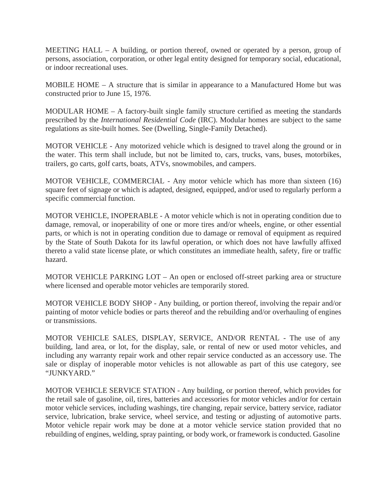MEETING HALL – A building, or portion thereof, owned or operated by a person, group of persons, association, corporation, or other legal entity designed for temporary social, educational, or indoor recreational uses.

MOBILE HOME – A structure that is similar in appearance to a Manufactured Home but was constructed prior to June 15, 1976.

MODULAR HOME – A factory-built single family structure certified as meeting the standards prescribed by the *International Residential Code* (IRC). Modular homes are subject to the same regulations as site-built homes. See (Dwelling, Single-Family Detached).

MOTOR VEHICLE - Any motorized vehicle which is designed to travel along the ground or in the water. This term shall include, but not be limited to, cars, trucks, vans, buses, motorbikes, trailers, go carts, golf carts, boats, ATVs, snowmobiles, and campers.

MOTOR VEHICLE, COMMERCIAL - Any motor vehicle which has more than sixteen (16) square feet of signage or which is adapted, designed, equipped, and/or used to regularly perform a specific commercial function.

MOTOR VEHICLE, INOPERABLE - A motor vehicle which is not in operating condition due to damage, removal, or inoperability of one or more tires and/or wheels, engine, or other essential parts, or which is not in operating condition due to damage or removal of equipment as required by the State of South Dakota for its lawful operation, or which does not have lawfully affixed thereto a valid state license plate, or which constitutes an immediate health, safety, fire or traffic hazard.

MOTOR VEHICLE PARKING LOT – An open or enclosed off-street parking area or structure where licensed and operable motor vehicles are temporarily stored.

MOTOR VEHICLE BODY SHOP - Any building, or portion thereof, involving the repair and/or painting of motor vehicle bodies or parts thereof and the rebuilding and/or overhauling of engines or transmissions.

MOTOR VEHICLE SALES, DISPLAY, SERVICE, AND/OR RENTAL - The use of any building, land area, or lot, for the display, sale, or rental of new or used motor vehicles, and including any warranty repair work and other repair service conducted as an accessory use. The sale or display of inoperable motor vehicles is not allowable as part of this use category, see "JUNKYARD."

MOTOR VEHICLE SERVICE STATION - Any building, or portion thereof, which provides for the retail sale of gasoline, oil, tires, batteries and accessories for motor vehicles and/or for certain motor vehicle services, including washings, tire changing, repair service, battery service, radiator service, lubrication, brake service, wheel service, and testing or adjusting of automotive parts. Motor vehicle repair work may be done at a motor vehicle service station provided that no rebuilding of engines, welding, spray painting, or body work, or framework is conducted. Gasoline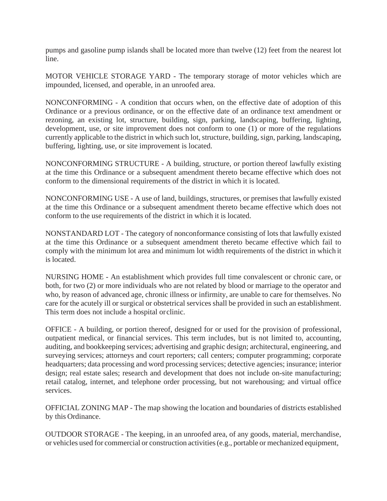pumps and gasoline pump islands shall be located more than twelve (12) feet from the nearest lot line.

MOTOR VEHICLE STORAGE YARD - The temporary storage of motor vehicles which are impounded, licensed, and operable, in an unroofed area.

NONCONFORMING - A condition that occurs when, on the effective date of adoption of this Ordinance or a previous ordinance, or on the effective date of an ordinance text amendment or rezoning, an existing lot, structure, building, sign, parking, landscaping, buffering, lighting, development, use, or site improvement does not conform to one (1) or more of the regulations currently applicable to the district in which such lot, structure, building, sign, parking, landscaping, buffering, lighting, use, or site improvement is located.

NONCONFORMING STRUCTURE - A building, structure, or portion thereof lawfully existing at the time this Ordinance or a subsequent amendment thereto became effective which does not conform to the dimensional requirements of the district in which it is located.

NONCONFORMING USE - A use of land, buildings, structures, or premises that lawfully existed at the time this Ordinance or a subsequent amendment thereto became effective which does not conform to the use requirements of the district in which it is located.

NONSTANDARD LOT - The category of nonconformance consisting of lots that lawfully existed at the time this Ordinance or a subsequent amendment thereto became effective which fail to comply with the minimum lot area and minimum lot width requirements of the district in which it is located.

NURSING HOME - An establishment which provides full time convalescent or chronic care, or both, for two (2) or more individuals who are not related by blood or marriage to the operator and who, by reason of advanced age, chronic illness or infirmity, are unable to care for themselves. No care for the acutely ill or surgical or obstetrical services shall be provided in such an establishment. This term does not include a hospital orclinic.

OFFICE - A building, or portion thereof, designed for or used for the provision of professional, outpatient medical, or financial services. This term includes, but is not limited to, accounting, auditing, and bookkeeping services; advertising and graphic design; architectural, engineering, and surveying services; attorneys and court reporters; call centers; computer programming; corporate headquarters; data processing and word processing services; detective agencies; insurance; interior design; real estate sales; research and development that does not include on-site manufacturing; retail catalog, internet, and telephone order processing, but not warehousing; and virtual office services.

OFFICIAL ZONING MAP - The map showing the location and boundaries of districts established by this Ordinance.

OUTDOOR STORAGE - The keeping, in an unroofed area, of any goods, material, merchandise, or vehicles used for commercial or construction activities(e.g., portable or mechanized equipment,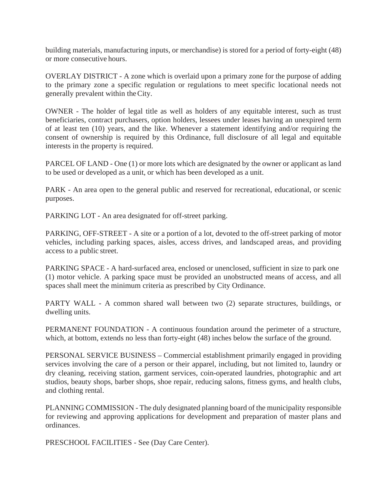building materials, manufacturing inputs, or merchandise) is stored for a period of forty-eight (48) or more consecutive hours.

OVERLAY DISTRICT - A zone which is overlaid upon a primary zone for the purpose of adding to the primary zone a specific regulation or regulations to meet specific locational needs not generally prevalent within theCity.

OWNER - The holder of legal title as well as holders of any equitable interest, such as trust beneficiaries, contract purchasers, option holders, lessees under leases having an unexpired term of at least ten (10) years, and the like. Whenever a statement identifying and/or requiring the consent of ownership is required by this Ordinance, full disclosure of all legal and equitable interests in the property is required.

PARCEL OF LAND - One (1) or more lots which are designated by the owner or applicant as land to be used or developed as a unit, or which has been developed as a unit.

PARK - An area open to the general public and reserved for recreational, educational, or scenic purposes.

PARKING LOT - An area designated for off-street parking.

PARKING, OFF-STREET - A site or a portion of a lot, devoted to the off-street parking of motor vehicles, including parking spaces, aisles, access drives, and landscaped areas, and providing access to a public street.

PARKING SPACE - A hard-surfaced area, enclosed or unenclosed, sufficient in size to park one (1) motor vehicle. A parking space must be provided an unobstructed means of access, and all spaces shall meet the minimum criteria as prescribed by City Ordinance.

PARTY WALL - A common shared wall between two (2) separate structures, buildings, or dwelling units.

PERMANENT FOUNDATION - A continuous foundation around the perimeter of a structure, which, at bottom, extends no less than forty-eight (48) inches below the surface of the ground.

PERSONAL SERVICE BUSINESS – Commercial establishment primarily engaged in providing services involving the care of a person or their apparel, including, but not limited to, laundry or dry cleaning, receiving station, garment services, coin-operated laundries, photographic and art studios, beauty shops, barber shops, shoe repair, reducing salons, fitness gyms, and health clubs, and clothing rental.

PLANNING COMMISSION - The duly designated planning board of the municipality responsible for reviewing and approving applications for development and preparation of master plans and ordinances.

PRESCHOOL FACILITIES - See (Day Care Center).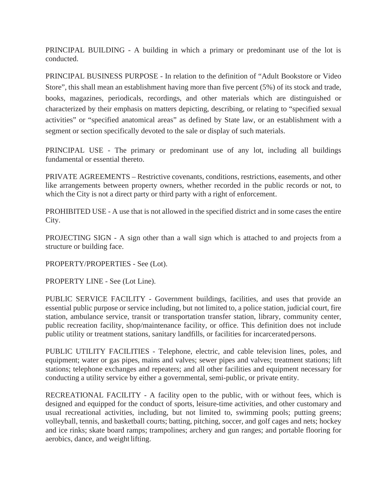PRINCIPAL BUILDING - A building in which a primary or predominant use of the lot is conducted.

PRINCIPAL BUSINESS PURPOSE - In relation to the definition of "Adult Bookstore or Video Store", this shall mean an establishment having more than five percent (5%) of its stock and trade, books, magazines, periodicals, recordings, and other materials which are distinguished or characterized by their emphasis on matters depicting, describing, or relating to "specified sexual activities" or "specified anatomical areas" as defined by State law, or an establishment with a segment or section specifically devoted to the sale or display of such materials.

PRINCIPAL USE - The primary or predominant use of any lot, including all buildings fundamental or essential thereto.

PRIVATE AGREEMENTS – Restrictive covenants, conditions, restrictions, easements, and other like arrangements between property owners, whether recorded in the public records or not, to which the City is not a direct party or third party with a right of enforcement.

PROHIBITED USE - A use that is not allowed in the specified district and in some cases the entire City.

PROJECTING SIGN - A sign other than a wall sign which is attached to and projects from a structure or building face.

PROPERTY/PROPERTIES - See (Lot).

PROPERTY LINE - See (Lot Line).

PUBLIC SERVICE FACILITY - Government buildings, facilities, and uses that provide an essential public purpose or service including, but not limited to, a police station, judicial court, fire station, ambulance service, transit or transportation transfer station, library, community center, public recreation facility, shop/maintenance facility, or office. This definition does not include public utility or treatment stations, sanitary landfills, or facilities for incarceratedpersons.

PUBLIC UTILITY FACILITIES - Telephone, electric, and cable television lines, poles, and equipment; water or gas pipes, mains and valves; sewer pipes and valves; treatment stations; lift stations; telephone exchanges and repeaters; and all other facilities and equipment necessary for conducting a utility service by either a governmental, semi-public, or private entity.

RECREATIONAL FACILITY - A facility open to the public, with or without fees, which is designed and equipped for the conduct of sports, leisure-time activities, and other customary and usual recreational activities, including, but not limited to, swimming pools; putting greens; volleyball, tennis, and basketball courts; batting, pitching, soccer, and golf cages and nets; hockey and ice rinks; skate board ramps; trampolines; archery and gun ranges; and portable flooring for aerobics, dance, and weight lifting.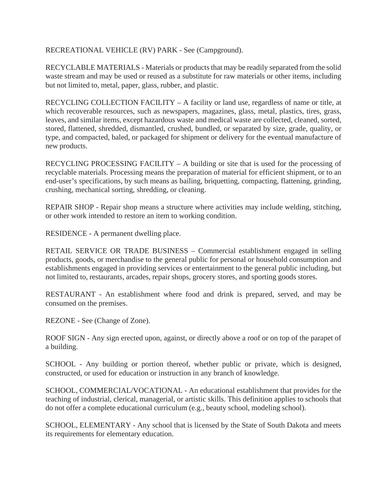## RECREATIONAL VEHICLE (RV) PARK - See (Campground).

RECYCLABLE MATERIALS - Materials or products that may be readily separated from the solid waste stream and may be used or reused as a substitute for raw materials or other items, including but not limited to, metal, paper, glass, rubber, and plastic.

RECYCLING COLLECTION FACILITY – A facility or land use, regardless of name or title, at which recoverable resources, such as newspapers, magazines, glass, metal, plastics, tires, grass, leaves, and similar items, except hazardous waste and medical waste are collected, cleaned, sorted, stored, flattened, shredded, dismantled, crushed, bundled, or separated by size, grade, quality, or type, and compacted, baled, or packaged for shipment or delivery for the eventual manufacture of new products.

RECYCLING PROCESSING FACILITY – A building or site that is used for the processing of recyclable materials. Processing means the preparation of material for efficient shipment, or to an end-user's specifications, by such means as bailing, briquetting, compacting, flattening, grinding, crushing, mechanical sorting, shredding, or cleaning.

REPAIR SHOP - Repair shop means a structure where activities may include welding, stitching, or other work intended to restore an item to working condition.

RESIDENCE - A permanent dwelling place.

RETAIL SERVICE OR TRADE BUSINESS – Commercial establishment engaged in selling products, goods, or merchandise to the general public for personal or household consumption and establishments engaged in providing services or entertainment to the general public including, but not limited to, restaurants, arcades, repair shops, grocery stores, and sporting goods stores.

RESTAURANT - An establishment where food and drink is prepared, served, and may be consumed on the premises.

REZONE - See (Change of Zone).

ROOF SIGN - Any sign erected upon, against, or directly above a roof or on top of the parapet of a building.

SCHOOL - Any building or portion thereof, whether public or private, which is designed, constructed, or used for education or instruction in any branch of knowledge.

SCHOOL, COMMERCIAL/VOCATIONAL - An educational establishment that provides for the teaching of industrial, clerical, managerial, or artistic skills. This definition applies to schools that do not offer a complete educational curriculum (e.g., beauty school, modeling school).

SCHOOL, ELEMENTARY - Any school that is licensed by the State of South Dakota and meets its requirements for elementary education.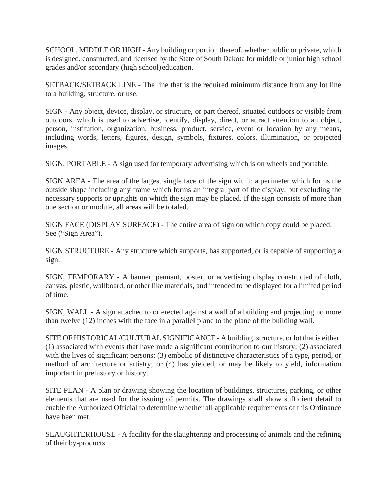SCHOOL, MIDDLE OR HIGH - Any building or portion thereof, whether public or private, which is designed, constructed, and licensed by the State of South Dakota for middle or junior high school grades and/or secondary (high school)education.

SETBACK/SETBACK LINE - The line that is the required minimum distance from any lot line to a building, structure, or use.

SIGN - Any object, device, display, or structure, or part thereof, situated outdoors or visible from outdoors, which is used to advertise, identify, display, direct, or attract attention to an object, person, institution, organization, business, product, service, event or location by any means, including words, letters, figures, design, symbols, fixtures, colors, illumination, or projected images.

SIGN, PORTABLE - A sign used for temporary advertising which is on wheels and portable.

SIGN AREA - The area of the largest single face of the sign within a perimeter which forms the outside shape including any frame which forms an integral part of the display, but excluding the necessary supports or uprights on which the sign may be placed. If the sign consists of more than one section or module, all areas will be totaled.

SIGN FACE (DISPLAY SURFACE) - The entire area of sign on which copy could be placed. See ("Sign Area").

SIGN STRUCTURE - Any structure which supports, has supported, or is capable of supporting a sign.

SIGN, TEMPORARY - A banner, pennant, poster, or advertising display constructed of cloth, canvas, plastic, wallboard, or other like materials, and intended to be displayed for a limited period of time.

SIGN, WALL - A sign attached to or erected against a wall of a building and projecting no more than twelve (12) inches with the face in a parallel plane to the plane of the building wall.

SITE OF HISTORICAL/CULTURAL SIGNIFICANCE - A building, structure, or lot that is either (1) associated with events that have made a significant contribution to our history; (2) associated with the lives of significant persons; (3) embolic of distinctive characteristics of a type, period, or method of architecture or artistry; or (4) has yielded, or may be likely to yield, information important in prehistory or history.

SITE PLAN - A plan or drawing showing the location of buildings, structures, parking, or other elements that are used for the issuing of permits. The drawings shall show sufficient detail to enable the Authorized Official to determine whether all applicable requirements of this Ordinance have been met.

SLAUGHTERHOUSE - A facility for the slaughtering and processing of animals and the refining of their by-products.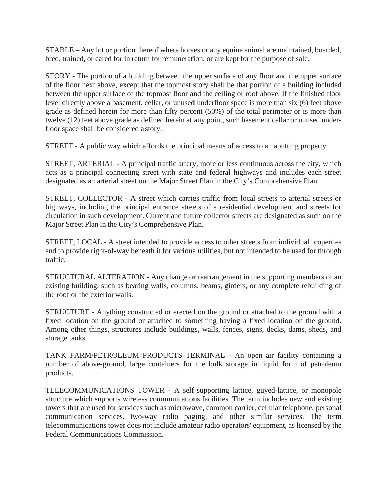STABLE – Any lot or portion thereof where horses or any equine animal are maintained, boarded, bred, trained, or cared for in return for remuneration, or are kept for the purpose of sale.

STORY - The portion of a building between the upper surface of any floor and the upper surface of the floor next above, except that the topmost story shall be that portion of a building included between the upper surface of the topmost floor and the ceiling or roof above. If the finished floor level directly above a basement, cellar, or unused underfloor space is more than six (6) feet above grade as defined herein for more than fifty percent (50%) of the total perimeter or is more than twelve (12) feet above grade as defined herein at any point, such basement cellar or unused underfloor space shall be considered a story.

STREET - A public way which affords the principal means of access to an abutting property.

STREET, ARTERIAL - A principal traffic artery, more or less continuous across the city, which acts as a principal connecting street with state and federal highways and includes each street designated as an arterial street on the Major Street Plan in the City's Comprehensive Plan.

STREET, COLLECTOR - A street which carries traffic from local streets to arterial streets or highways, including the principal entrance streets of a residential development and streets for circulation in such development. Current and future collector streets are designated as such on the Major Street Plan in the City's Comprehensive Plan.

STREET, LOCAL - A street intended to provide access to other streets from individual properties and to provide right-of-way beneath it for various utilities, but not intended to be used for through traffic.

STRUCTURAL ALTERATION - Any change or rearrangement in the supporting members of an existing building, such as bearing walls, columns, beams, girders, or any complete rebuilding of the roof or the exterior walls.

STRUCTURE - Anything constructed or erected on the ground or attached to the ground with a fixed location on the ground or attached to something having a fixed location on the ground. Among other things, structures include buildings, walls, fences, signs, decks, dams, sheds, and storage tanks.

TANK FARM/PETROLEUM PRODUCTS TERMINAL - An open air facility containing a number of above-ground, large containers for the bulk storage in liquid form of petroleum products.

TELECOMMUNICATIONS TOWER - A self-supporting lattice, guyed-lattice, or monopole structure which supports wireless communications facilities. The term includes new and existing towers that are used for services such as microwave, common carrier, cellular telephone, personal communication services, two-way radio paging, and other similar services. The term telecommunications tower does not include amateur radio operators' equipment, as licensed by the Federal Communications Commission.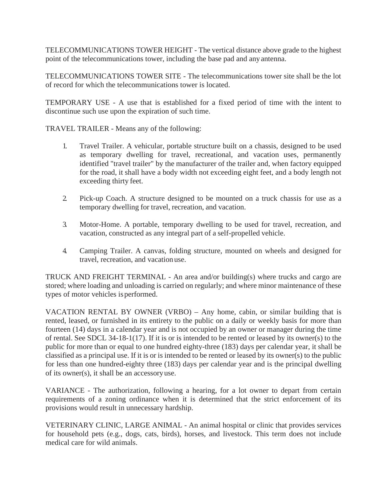TELECOMMUNICATIONS TOWER HEIGHT - The vertical distance above grade to the highest point of the telecommunications tower, including the base pad and anyantenna.

TELECOMMUNICATIONS TOWER SITE - The telecommunications tower site shall be the lot of record for which the telecommunications tower is located.

TEMPORARY USE - A use that is established for a fixed period of time with the intent to discontinue such use upon the expiration of such time.

TRAVEL TRAILER - Means any of the following:

- 1. Travel Trailer. A vehicular, portable structure built on a chassis, designed to be used as temporary dwelling for travel, recreational, and vacation uses, permanently identified "travel trailer" by the manufacturer of the trailer and, when factory equipped for the road, it shall have a body width not exceeding eight feet, and a body length not exceeding thirty feet.
- 2. Pick-up Coach. A structure designed to be mounted on a truck chassis for use as a temporary dwelling for travel, recreation, and vacation.
- 3. Motor-Home. A portable, temporary dwelling to be used for travel, recreation, and vacation, constructed as any integral part of a self-propelled vehicle.
- 4. Camping Trailer. A canvas, folding structure, mounted on wheels and designed for travel, recreation, and vacationuse.

TRUCK AND FREIGHT TERMINAL - An area and/or building(s) where trucks and cargo are stored; where loading and unloading is carried on regularly; and where minor maintenance of these types of motor vehicles is performed.

VACATION RENTAL BY OWNER (VRBO) – Any home, cabin, or similar building that is rented, leased, or furnished in its entirety to the public on a daily or weekly basis for more than fourteen (14) days in a calendar year and is not occupied by an owner or manager during the time of rental. See SDCL 34-18-1(17). If it is or is intended to be rented or leased by its owner(s) to the public for more than or equal to one hundred eighty-three (183) days per calendar year, it shall be classified as a principal use. If it is or is intended to be rented or leased by its owner(s) to the public for less than one hundred-eighty three (183) days per calendar year and is the principal dwelling of its owner(s), it shall be an accessoryuse.

VARIANCE - The authorization, following a hearing, for a lot owner to depart from certain requirements of a zoning ordinance when it is determined that the strict enforcement of its provisions would result in unnecessary hardship.

VETERINARY CLINIC, LARGE ANIMAL - An animal hospital or clinic that provides services for household pets (e.g., dogs, cats, birds), horses, and livestock. This term does not include medical care for wild animals.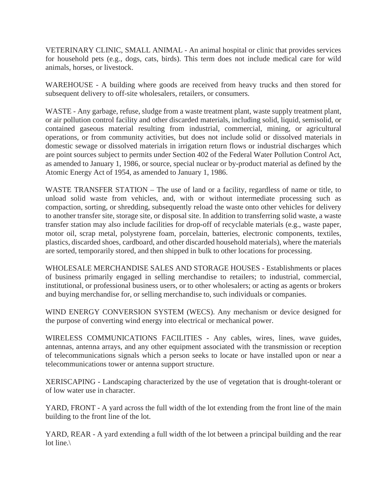VETERINARY CLINIC, SMALL ANIMAL - An animal hospital or clinic that provides services for household pets (e.g., dogs, cats, birds). This term does not include medical care for wild animals, horses, or livestock.

WAREHOUSE - A building where goods are received from heavy trucks and then stored for subsequent delivery to off-site wholesalers, retailers, or consumers.

WASTE - Any garbage, refuse, sludge from a waste treatment plant, waste supply treatment plant, or air pollution control facility and other discarded materials, including solid, liquid, semisolid, or contained gaseous material resulting from industrial, commercial, mining, or agricultural operations, or from community activities, but does not include solid or dissolved materials in domestic sewage or dissolved materials in irrigation return flows or industrial discharges which are point sources subject to permits under Section 402 of the Federal Water Pollution Control Act, as amended to January 1, 1986, or source, special nuclear or by-product material as defined by the Atomic Energy Act of 1954, as amended to January 1, 1986.

WASTE TRANSFER STATION – The use of land or a facility, regardless of name or title, to unload solid waste from vehicles, and, with or without intermediate processing such as compaction, sorting, or shredding, subsequently reload the waste onto other vehicles for delivery to another transfer site, storage site, or disposal site. In addition to transferring solid waste, a waste transfer station may also include facilities for drop-off of recyclable materials (e.g., waste paper, motor oil, scrap metal, polystyrene foam, porcelain, batteries, electronic components, textiles, plastics, discarded shoes, cardboard, and other discarded household materials), where the materials are sorted, temporarily stored, and then shipped in bulk to other locations for processing.

WHOLESALE MERCHANDISE SALES AND STORAGE HOUSES - Establishments or places of business primarily engaged in selling merchandise to retailers; to industrial, commercial, institutional, or professional business users, or to other wholesalers; or acting as agents or brokers and buying merchandise for, or selling merchandise to, such individuals or companies.

WIND ENERGY CONVERSION SYSTEM (WECS). Any mechanism or device designed for the purpose of converting wind energy into electrical or mechanical power.

WIRELESS COMMUNICATIONS FACILITIES - Any cables, wires, lines, wave guides, antennas, antenna arrays, and any other equipment associated with the transmission or reception of telecommunications signals which a person seeks to locate or have installed upon or near a telecommunications tower or antenna support structure.

XERISCAPING - Landscaping characterized by the use of vegetation that is drought-tolerant or of low water use in character.

YARD, FRONT - A yard across the full width of the lot extending from the front line of the main building to the front line of the lot.

YARD, REAR - A yard extending a full width of the lot between a principal building and the rear lot line.\